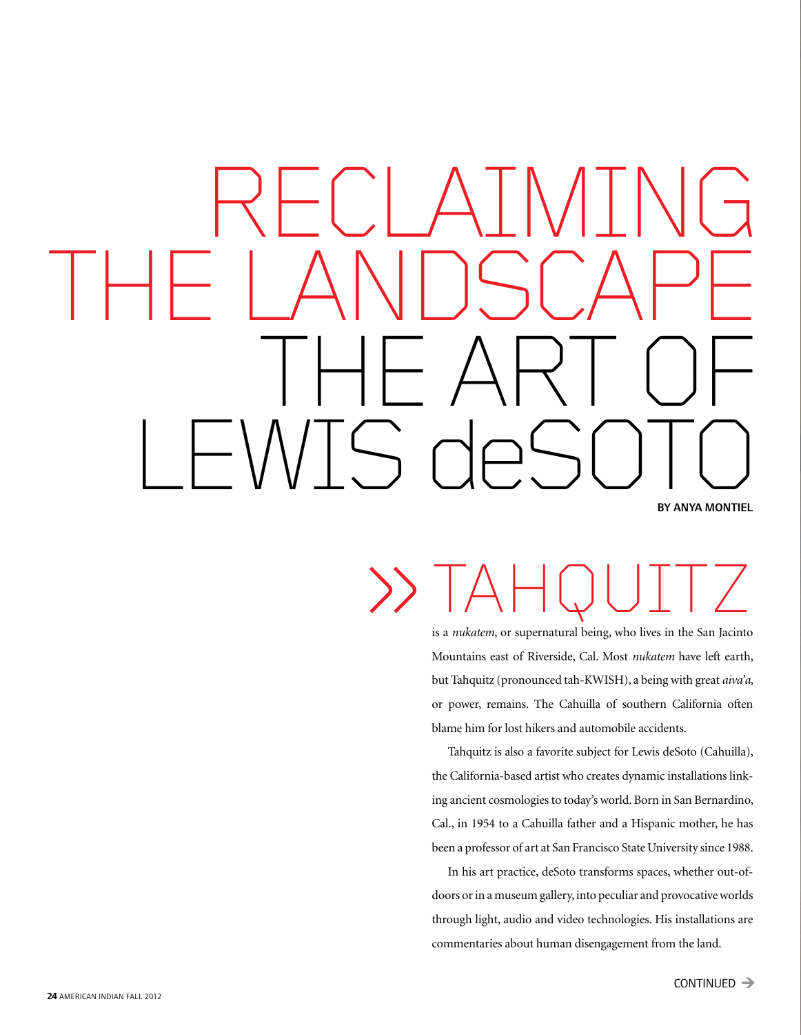## By Anya MontieL RECLAIMING the Landscape THE ART OF LEWIS deSOTO

### » TAHQUITZ

is a *nukatem*, or supernatural being, who lives in the San Jacinto Mountains east of Riverside, Cal. Most *nukatem* have left earth, but Tahquitz (pronounced tah-KWISH), a being with great *aiva'a*, or power, remains. The Cahuilla of southern California often blame him for lost hikers and automobile accidents.

Tahquitz is also a favorite subject for Lewis deSoto (Cahuilla), the California-based artist who creates dynamic installations linking ancient cosmologies to today's world. Born in San Bernardino, Cal., in 1954 to a Cahuilla father and a Hispanic mother, he has been a professor of art at San Francisco State University since 1988.

In his art practice, deSoto transforms spaces, whether out-ofdoors or in a museum gallery, into peculiar and provocative worlds through light, audio and video technologies. His installations are commentaries about human disengagement from the land.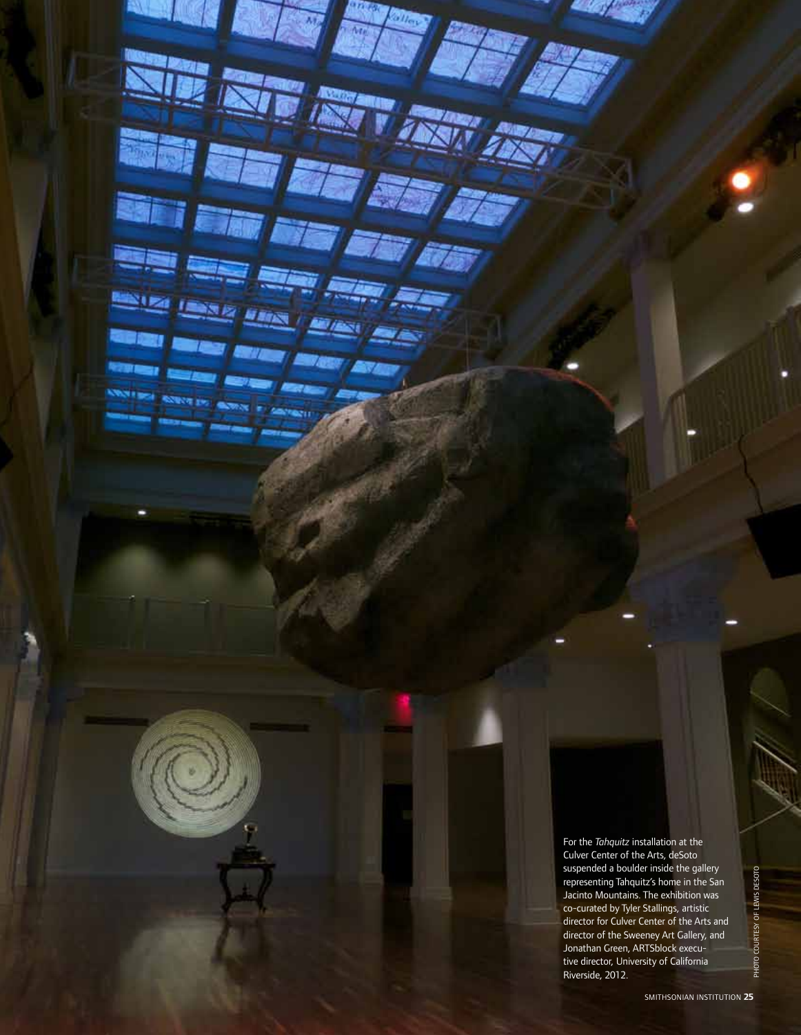For the *Tahquitz* installation at the Culver Center of the Arts, deSoto suspended a boulder inside the gallery representing Tahquitz's home in the San Jacinto Mountains. The exhibition was co-curated by Tyler Stallings, artistic director for Culver Center of the Arts and director of the Sweeney Art Gallery, and Jonathan Green, ARTSblock executive director, University of California suspended a boulder inside the gallery<br>representing Tahquitz's home in the San<br>Jacinto Mountains. The exhibition was<br>co-curated by Tyler Stallings, artistic<br>director for Culver Center of the Arts and<br>director of the Sweene

**Company** 

an Francisco de la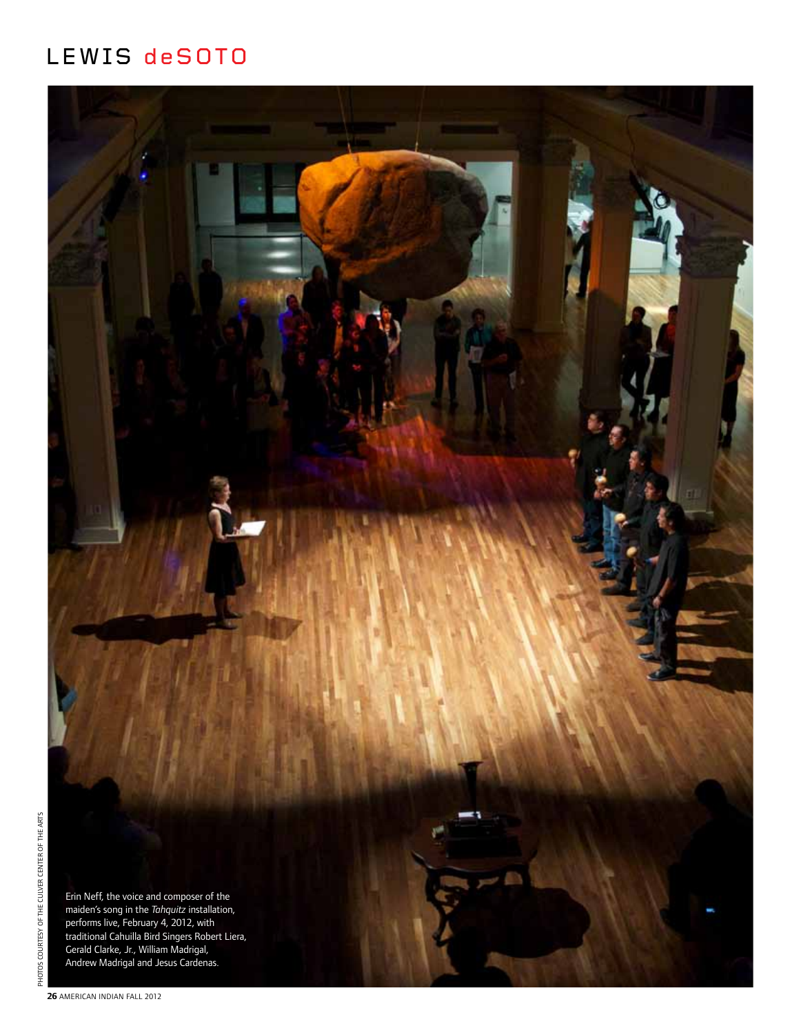#### Lewis deSoto



**26** AMERICAN INDIAN fall 2012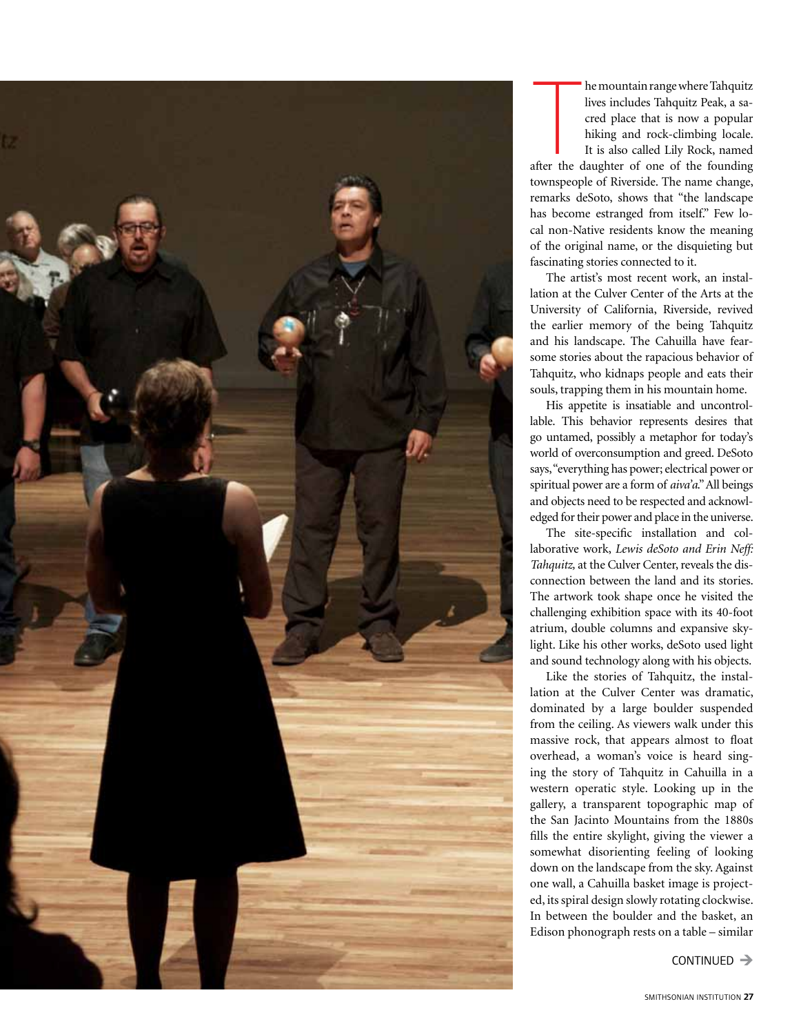

The mountain range where Tahquitz<br>
lives includes Tahquitz Peak, a sa-<br>
cred place that is now a popular<br>
hiking and rock-climbing locale.<br>
It is also called Lily Rock, named<br>
after the daughter of one of the founding<br>
tow he mountain range where Tahquitz lives includes Tahquitz Peak, a sacred place that is now a popular hiking and rock-climbing locale. It is also called Lily Rock, named townspeople of Riverside. The name change, remarks deSoto, shows that "the landscape has become estranged from itself." Few local non-Native residents know the meaning of the original name, or the disquieting but fascinating stories connected to it.

The artist's most recent work, an installation at the Culver Center of the Arts at the University of California, Riverside, revived the earlier memory of the being Tahquitz and his landscape. The Cahuilla have fearsome stories about the rapacious behavior of Tahquitz, who kidnaps people and eats their souls, trapping them in his mountain home.

His appetite is insatiable and uncontrollable. This behavior represents desires that go untamed, possibly a metaphor for today's world of overconsumption and greed. DeSoto says, "everything has power; electrical power or spiritual power are a form of *aiva'a*." All beings and objects need to be respected and acknowledged for their power and place in the universe.

The site-specific installation and collaborative work, *Lewis deSoto and Erin Neff: Tahquitz,* at the Culver Center, reveals the disconnection between the land and its stories. The artwork took shape once he visited the challenging exhibition space with its 40-foot atrium, double columns and expansive skylight. Like his other works, deSoto used light and sound technology along with his objects.

Like the stories of Tahquitz, the installation at the Culver Center was dramatic, dominated by a large boulder suspended from the ceiling. As viewers walk under this massive rock, that appears almost to float overhead, a woman's voice is heard singing the story of Tahquitz in Cahuilla in a western operatic style. Looking up in the gallery, a transparent topographic map of the San Jacinto Mountains from the 1880s fills the entire skylight, giving the viewer a somewhat disorienting feeling of looking down on the landscape from the sky. Against one wall, a Cahuilla basket image is projected, its spiral design slowly rotating clockwise. In between the boulder and the basket, an Edison phonograph rests on a table – similar

 $CONTINUED \rightarrow$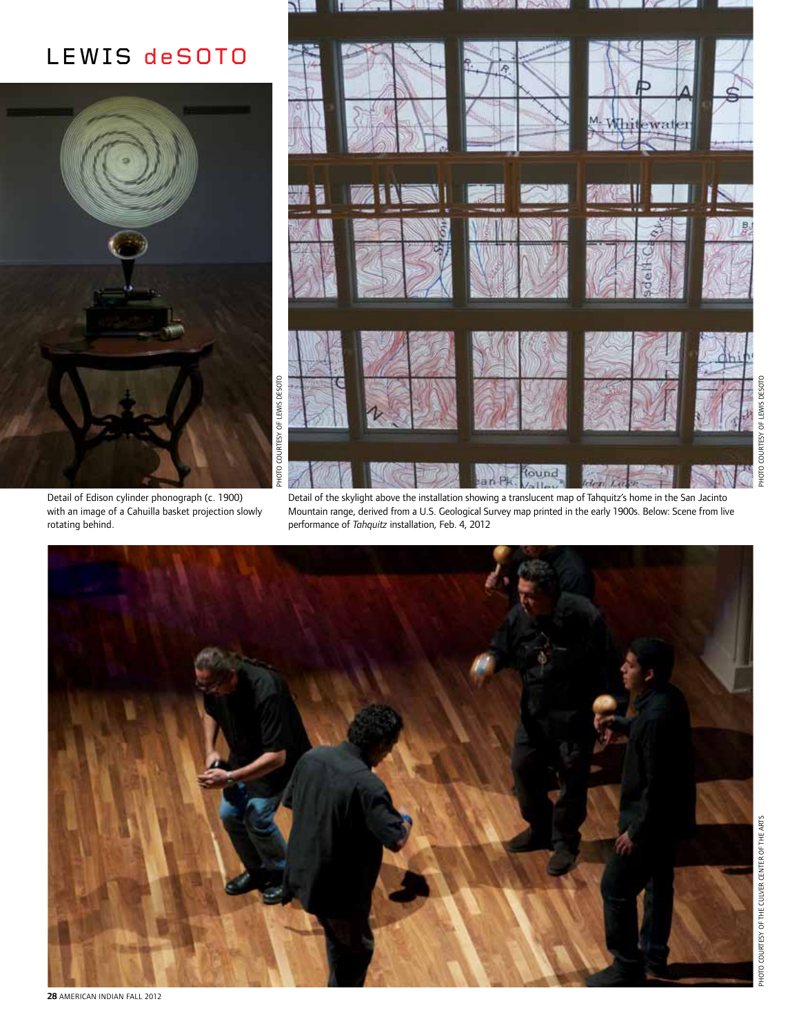#### Lewis deSoto



Detail of Edison cylinder phonograph (c. 1900) with an image of a Cahuilla basket projection slowly rotating behind.



Detail of the skylight above the installation showing a translucent map of Tahquitz's home in the San Jacinto Mountain range, derived from a U.S. Geological Survey map printed in the early 1900s. Below: Scene from live performance of *Tahquitz* installation, Feb. 4, 2012



Photo courtesy of Lewis deSoto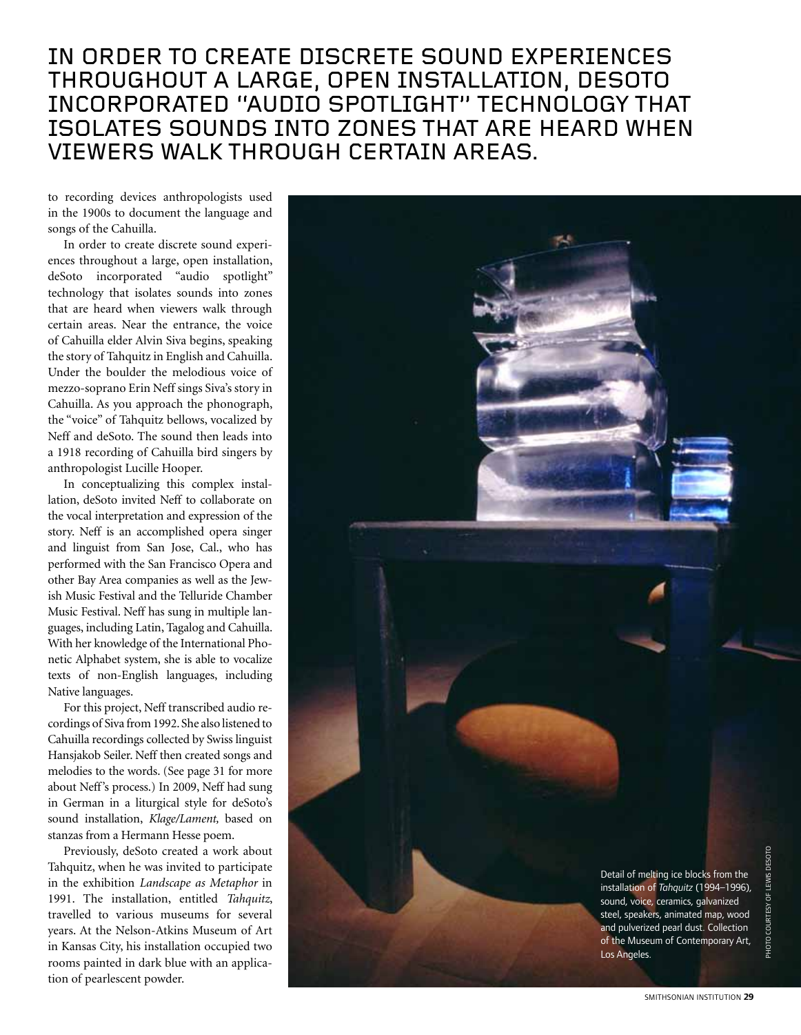#### In order to create discrete sound experiences throughout a large, open installation, deSoto incorporated "audio spotlight" technology that isolates sounds into zones that are heard when viewers walk through certain areas.

to recording devices anthropologists used in the 1900s to document the language and songs of the Cahuilla.

In order to create discrete sound experiences throughout a large, open installation, deSoto incorporated "audio spotlight" technology that isolates sounds into zones that are heard when viewers walk through certain areas. Near the entrance, the voice of Cahuilla elder Alvin Siva begins, speaking the story of Tahquitz in English and Cahuilla. Under the boulder the melodious voice of mezzo-soprano Erin Neff sings Siva's story in Cahuilla. As you approach the phonograph, the "voice" of Tahquitz bellows, vocalized by Neff and deSoto. The sound then leads into a 1918 recording of Cahuilla bird singers by anthropologist Lucille Hooper.

In conceptualizing this complex installation, deSoto invited Neff to collaborate on the vocal interpretation and expression of the story. Neff is an accomplished opera singer and linguist from San Jose, Cal., who has performed with the San Francisco Opera and other Bay Area companies as well as the Jewish Music Festival and the Telluride Chamber Music Festival. Neff has sung in multiple languages, including Latin, Tagalog and Cahuilla. With her knowledge of the International Phonetic Alphabet system, she is able to vocalize texts of non-English languages, including Native languages.

For this project, Neff transcribed audio recordings of Siva from 1992. She also listened to Cahuilla recordings collected by Swiss linguist Hansjakob Seiler. Neff then created songs and melodies to the words. (See page 31 for more about Neff's process.) In 2009, Neff had sung in German in a liturgical style for deSoto's sound installation, *Klage/Lament,* based on stanzas from a Hermann Hesse poem.

Previously, deSoto created a work about Tahquitz, when he was invited to participate in the exhibition *Landscape as Metaphor* in 1991. The installation, entitled *Tahquitz*, travelled to various museums for several years. At the Nelson-Atkins Museum of Art in Kansas City, his installation occupied two rooms painted in dark blue with an application of pearlescent powder.

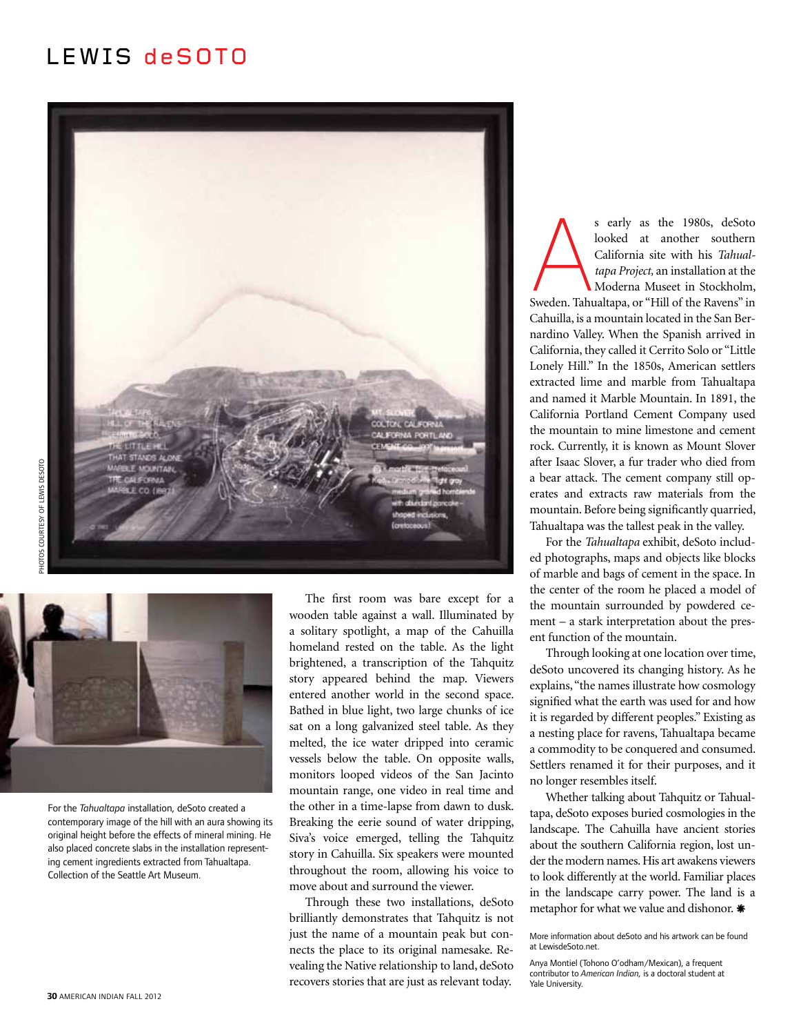#### Lewis deSoto





For the *Tahualtapa* installation, deSoto created a contemporary image of the hill with an aura showing its original height before the effects of mineral mining. He also placed concrete slabs in the installation representing cement ingredients extracted from Tahualtapa. Collection of the Seattle Art Museum.

The first room was bare except for a wooden table against a wall. Illuminated by a solitary spotlight, a map of the Cahuilla homeland rested on the table. As the light brightened, a transcription of the Tahquitz story appeared behind the map. Viewers entered another world in the second space. Bathed in blue light, two large chunks of ice sat on a long galvanized steel table. As they melted, the ice water dripped into ceramic vessels below the table. On opposite walls, monitors looped videos of the San Jacinto mountain range, one video in real time and the other in a time-lapse from dawn to dusk. Breaking the eerie sound of water dripping, Siva's voice emerged, telling the Tahquitz story in Cahuilla. Six speakers were mounted throughout the room, allowing his voice to move about and surround the viewer.

Through these two installations, deSoto brilliantly demonstrates that Tahquitz is not just the name of a mountain peak but connects the place to its original namesake. Revealing the Native relationship to land, deSoto recovers stories that are just as relevant today.

s early as the 1980s, deSoto<br>
looked at another southern<br>
California site with his *Tahual-<br>
tapa Project*, an installation at the<br>
Moderna Museet in Stockholm,<br>
Sweden. Tahualtapa, or "Hill of the Ravens" in<br>
Cabuilla is looked at another southern California site with his *Tahualtapa Project,* an installation at the Moderna Museet in Stockholm, Cahuilla, is a mountain located in the San Bernardino Valley. When the Spanish arrived in California, they called it Cerrito Solo or "Little Lonely Hill." In the 1850s, American settlers extracted lime and marble from Tahualtapa and named it Marble Mountain. In 1891, the California Portland Cement Company used the mountain to mine limestone and cement rock. Currently, it is known as Mount Slover after Isaac Slover, a fur trader who died from a bear attack. The cement company still operates and extracts raw materials from the mountain. Before being significantly quarried, Tahualtapa was the tallest peak in the valley.

For the *Tahualtapa* exhibit, deSoto included photographs, maps and objects like blocks of marble and bags of cement in the space. In the center of the room he placed a model of the mountain surrounded by powdered cement – a stark interpretation about the present function of the mountain.

Through looking at one location over time, deSoto uncovered its changing history. As he explains, "the names illustrate how cosmology signified what the earth was used for and how it is regarded by different peoples." Existing as a nesting place for ravens, Tahualtapa became a commodity to be conquered and consumed. Settlers renamed it for their purposes, and it no longer resembles itself.

Whether talking about Tahquitz or Tahualtapa, deSoto exposes buried cosmologies in the landscape. The Cahuilla have ancient stories about the southern California region, lost under the modern names. His art awakens viewers to look differently at the world. Familiar places in the landscape carry power. The land is a metaphor for what we value and dishonor. \*

Anya Montiel (Tohono O'odham/Mexican), a frequent contributor to *American Indian,* is a doctoral student at Yale University.

More information about deSoto and his artwork can be found at LewisdeSoto.net.